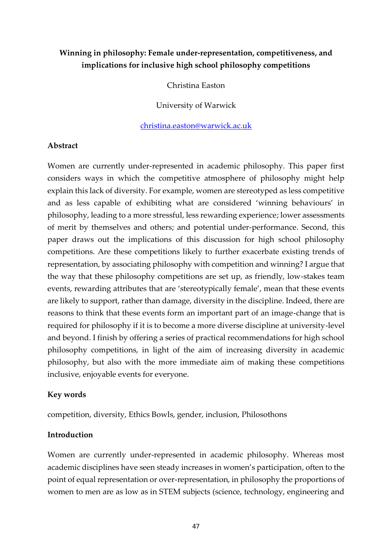# **Winning in philosophy: Female under-representation, competitiveness, and implications for inclusive high school philosophy competitions**

Christina Easton

University of Warwick

[christina.easton@warwick.ac.uk](mailto:christina.easton@warwick.ac.uk)

#### **Abstract**

Women are currently under-represented in academic philosophy. This paper first considers ways in which the competitive atmosphere of philosophy might help explain this lack of diversity. For example, women are stereotyped as less competitive and as less capable of exhibiting what are considered 'winning behaviours' in philosophy, leading to a more stressful, less rewarding experience; lower assessments of merit by themselves and others; and potential under-performance. Second, this paper draws out the implications of this discussion for high school philosophy competitions. Are these competitions likely to further exacerbate existing trends of representation, by associating philosophy with competition and winning? I argue that the way that these philosophy competitions are set up, as friendly, low-stakes team events, rewarding attributes that are 'stereotypically female', mean that these events are likely to support, rather than damage, diversity in the discipline. Indeed, there are reasons to think that these events form an important part of an image-change that is required for philosophy if it is to become a more diverse discipline at university-level and beyond. I finish by offering a series of practical recommendations for high school philosophy competitions, in light of the aim of increasing diversity in academic philosophy, but also with the more immediate aim of making these competitions inclusive, enjoyable events for everyone.

### **Key words**

competition, diversity, Ethics Bowls, gender, inclusion, Philosothons

### **Introduction**

Women are currently under-represented in academic philosophy. Whereas most academic disciplines have seen steady increases in women's participation, often to the point of equal representation or over-representation, in philosophy the proportions of women to men are as low as in STEM subjects (science, technology, engineering and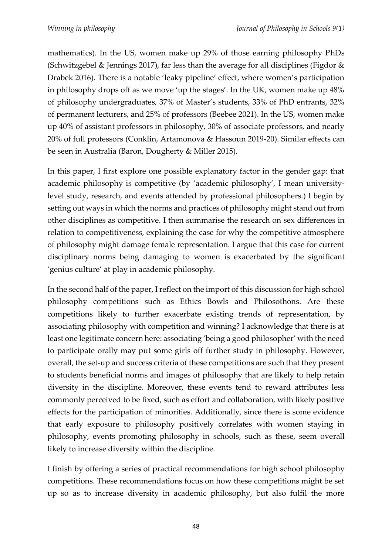mathematics). In the US, women make up 29% of those earning philosophy PhDs (Schwitzgebel & Jennings 2017), far less than the average for all disciplines (Figdor & Drabek 2016). There is a notable 'leaky pipeline' effect, where women's participation in philosophy drops off as we move 'up the stages'. In the UK, women make up 48% of philosophy undergraduates, 37% of Master's students, 33% of PhD entrants, 32% of permanent lecturers, and 25% of professors (Beebee 2021). In the US, women make up 40% of assistant professors in philosophy, 30% of associate professors, and nearly 20% of full professors (Conklin, Artamonova & Hassoun 2019-20). Similar effects can be seen in Australia (Baron, Dougherty & Miller 2015).

In this paper, I first explore one possible explanatory factor in the gender gap: that academic philosophy is competitive (by 'academic philosophy', I mean universitylevel study, research, and events attended by professional philosophers.) I begin by setting out ways in which the norms and practices of philosophy might stand out from other disciplines as competitive. I then summarise the research on sex differences in relation to competitiveness, explaining the case for why the competitive atmosphere of philosophy might damage female representation. I argue that this case for current disciplinary norms being damaging to women is exacerbated by the significant 'genius culture' at play in academic philosophy.

In the second half of the paper, I reflect on the import of this discussion for high school philosophy competitions such as Ethics Bowls and Philosothons. Are these competitions likely to further exacerbate existing trends of representation, by associating philosophy with competition and winning? I acknowledge that there is at least one legitimate concern here: associating 'being a good philosopher' with the need to participate orally may put some girls off further study in philosophy. However, overall, the set-up and success criteria of these competitions are such that they present to students beneficial norms and images of philosophy that are likely to help retain diversity in the discipline. Moreover, these events tend to reward attributes less commonly perceived to be fixed, such as effort and collaboration, with likely positive effects for the participation of minorities. Additionally, since there is some evidence that early exposure to philosophy positively correlates with women staying in philosophy, events promoting philosophy in schools, such as these, seem overall likely to increase diversity within the discipline.

I finish by offering a series of practical recommendations for high school philosophy competitions. These recommendations focus on how these competitions might be set up so as to increase diversity in academic philosophy, but also fulfil the more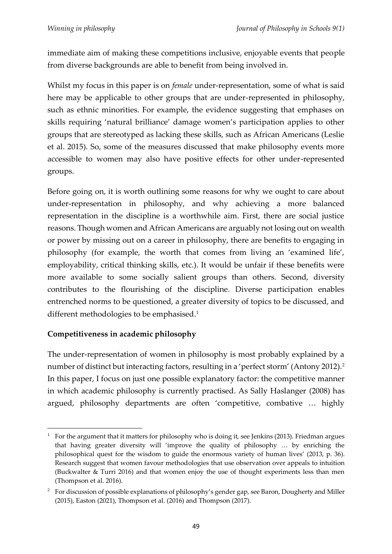immediate aim of making these competitions inclusive, enjoyable events that people from diverse backgrounds are able to benefit from being involved in.

Whilst my focus in this paper is on *female* under-representation, some of what is said here may be applicable to other groups that are under-represented in philosophy, such as ethnic minorities. For example, the evidence suggesting that emphases on skills requiring 'natural brilliance' damage women's participation applies to other groups that are stereotyped as lacking these skills, such as African Americans (Leslie et al. 2015). So, some of the measures discussed that make philosophy events more accessible to women may also have positive effects for other under-represented groups.

Before going on, it is worth outlining some reasons for why we ought to care about under-representation in philosophy, and why achieving a more balanced representation in the discipline is a worthwhile aim. First, there are social justice reasons. Though women and African Americans are arguably not losing out on wealth or power by missing out on a career in philosophy, there are benefits to engaging in philosophy (for example, the worth that comes from living an 'examined life', employability, critical thinking skills, etc.). It would be unfair if these benefits were more available to some socially salient groups than others. Second, diversity contributes to the flourishing of the discipline. Diverse participation enables entrenched norms to be questioned, a greater diversity of topics to be discussed, and different methodologies to be emphasised.<sup>1</sup>

## **Competitiveness in academic philosophy**

The under-representation of women in philosophy is most probably explained by a number of distinct but interacting factors, resulting in a 'perfect storm' (Antony 2012).<sup>2</sup> In this paper, I focus on just one possible explanatory factor: the competitive manner in which academic philosophy is currently practised. As Sally Haslanger (2008) has argued, philosophy departments are often 'competitive, combative … highly

<sup>1</sup> For the argument that it matters for philosophy who is doing it, see Jenkins (2013). Friedman argues that having greater diversity will 'improve the quality of philosophy … by enriching the philosophical quest for the wisdom to guide the enormous variety of human lives' (2013, p. 36). Research suggest that women favour methodologies that use observation over appeals to intuition (Buckwalter & Turri 2016) and that women enjoy the use of thought experiments less than men (Thompson et al. 2016).

<sup>&</sup>lt;sup>2</sup> For discussion of possible explanations of philosophy's gender gap, see Baron, Dougherty and Miller (2015), Easton (2021), Thompson et al. (2016) and Thompson (2017).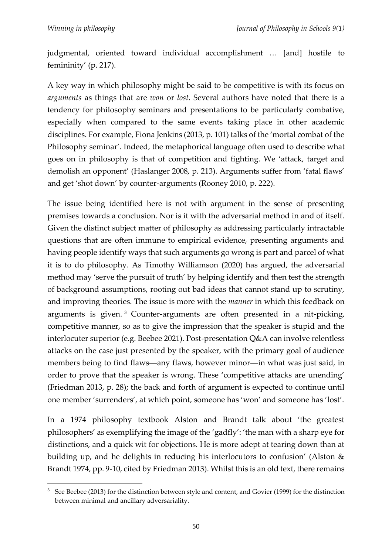judgmental, oriented toward individual accomplishment … [and] hostile to femininity' (p. 217).

A key way in which philosophy might be said to be competitive is with its focus on *arguments* as things that are *won* or *lost*. Several authors have noted that there is a tendency for philosophy seminars and presentations to be particularly combative, especially when compared to the same events taking place in other academic disciplines. For example, Fiona Jenkins (2013, p. 101) talks of the 'mortal combat of the Philosophy seminar'. Indeed, the metaphorical language often used to describe what goes on in philosophy is that of competition and fighting. We 'attack, target and demolish an opponent' (Haslanger 2008, p. 213). Arguments suffer from 'fatal flaws' and get 'shot down' by counter-arguments (Rooney 2010, p. 222).

The issue being identified here is not with argument in the sense of presenting premises towards a conclusion. Nor is it with the adversarial method in and of itself. Given the distinct subject matter of philosophy as addressing particularly intractable questions that are often immune to empirical evidence, presenting arguments and having people identify ways that such arguments go wrong is part and parcel of what it is to do philosophy. As Timothy Williamson (2020) has argued, the adversarial method may 'serve the pursuit of truth' by helping identify and then test the strength of background assumptions, rooting out bad ideas that cannot stand up to scrutiny, and improving theories. The issue is more with the *manner* in which this feedback on arguments is given. <sup>3</sup> Counter-arguments are often presented in a nit-picking, competitive manner, so as to give the impression that the speaker is stupid and the interlocuter superior (e.g. Beebee 2021). Post-presentation Q&A can involve relentless attacks on the case just presented by the speaker, with the primary goal of audience members being to find flaws―any flaws, however minor―in what was just said, in order to prove that the speaker is wrong. These 'competitive attacks are unending' (Friedman 2013, p. 28); the back and forth of argument is expected to continue until one member 'surrenders', at which point, someone has 'won' and someone has 'lost'.

In a 1974 philosophy textbook Alston and Brandt talk about 'the greatest philosophers' as exemplifying the image of the 'gadfly': 'the man with a sharp eye for distinctions, and a quick wit for objections. He is more adept at tearing down than at building up, and he delights in reducing his interlocutors to confusion' (Alston & Brandt 1974, pp. 9-10, cited by Friedman 2013). Whilst this is an old text, there remains

<sup>&</sup>lt;sup>3</sup> See Beebee (2013) for the distinction between style and content, and Govier (1999) for the distinction between minimal and ancillary adversariality.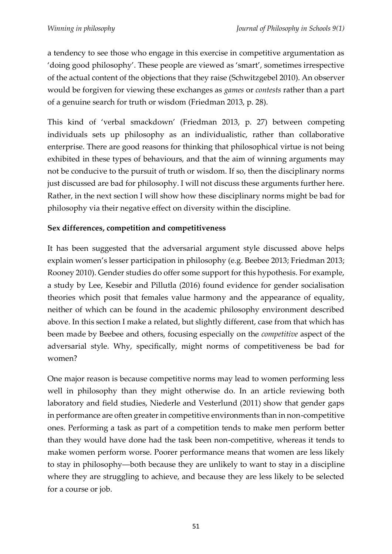a tendency to see those who engage in this exercise in competitive argumentation as 'doing good philosophy'. These people are viewed as 'smart', sometimes irrespective of the actual content of the objections that they raise (Schwitzgebel 2010). An observer would be forgiven for viewing these exchanges as *games* or *contests* rather than a part of a genuine search for truth or wisdom (Friedman 2013, p. 28).

This kind of 'verbal smackdown' (Friedman 2013, p. 27) between competing individuals sets up philosophy as an individualistic, rather than collaborative enterprise. There are good reasons for thinking that philosophical virtue is not being exhibited in these types of behaviours, and that the aim of winning arguments may not be conducive to the pursuit of truth or wisdom. If so, then the disciplinary norms just discussed are bad for philosophy. I will not discuss these arguments further here. Rather, in the next section I will show how these disciplinary norms might be bad for philosophy via their negative effect on diversity within the discipline.

## **Sex differences, competition and competitiveness**

It has been suggested that the adversarial argument style discussed above helps explain women's lesser participation in philosophy (e.g. Beebee 2013; Friedman 2013; Rooney 2010). Gender studies do offer some support for this hypothesis. For example, a study by Lee, Kesebir and Pillutla (2016) found evidence for gender socialisation theories which posit that females value harmony and the appearance of equality, neither of which can be found in the academic philosophy environment described above. In this section I make a related, but slightly different, case from that which has been made by Beebee and others, focusing especially on the *competitive* aspect of the adversarial style. Why, specifically, might norms of competitiveness be bad for women?

One major reason is because competitive norms may lead to women performing less well in philosophy than they might otherwise do. In an article reviewing both laboratory and field studies, Niederle and Vesterlund (2011) show that gender gaps in performance are often greater in competitive environments than in non-competitive ones. Performing a task as part of a competition tends to make men perform better than they would have done had the task been non-competitive, whereas it tends to make women perform worse. Poorer performance means that women are less likely to stay in philosophy―both because they are unlikely to want to stay in a discipline where they are struggling to achieve, and because they are less likely to be selected for a course or job.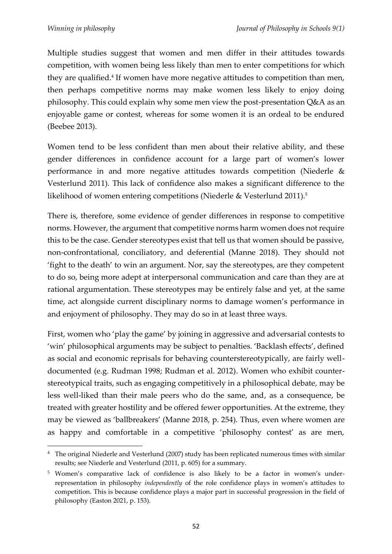Multiple studies suggest that women and men differ in their attitudes towards competition, with women being less likely than men to enter competitions for which they are qualified.<sup>4</sup> If women have more negative attitudes to competition than men, then perhaps competitive norms may make women less likely to enjoy doing philosophy. This could explain why some men view the post-presentation Q&A as an enjoyable game or contest, whereas for some women it is an ordeal to be endured (Beebee 2013).

Women tend to be less confident than men about their relative ability, and these gender differences in confidence account for a large part of women's lower performance in and more negative attitudes towards competition (Niederle & Vesterlund 2011). This lack of confidence also makes a significant difference to the likelihood of women entering competitions (Niederle & Vesterlund 2011).<sup>5</sup>

There is, therefore, some evidence of gender differences in response to competitive norms. However, the argument that competitive norms harm women does not require this to be the case. Gender stereotypes exist that tell us that women should be passive, non-confrontational, conciliatory, and deferential (Manne 2018). They should not 'fight to the death' to win an argument. Nor, say the stereotypes, are they competent to do so, being more adept at interpersonal communication and care than they are at rational argumentation. These stereotypes may be entirely false and yet, at the same time, act alongside current disciplinary norms to damage women's performance in and enjoyment of philosophy. They may do so in at least three ways.

First, women who 'play the game' by joining in aggressive and adversarial contests to 'win' philosophical arguments may be subject to penalties. 'Backlash effects', defined as social and economic reprisals for behaving counterstereotypically, are fairly welldocumented (e.g. Rudman 1998; Rudman et al. 2012). Women who exhibit counterstereotypical traits, such as engaging competitively in a philosophical debate, may be less well-liked than their male peers who do the same, and, as a consequence, be treated with greater hostility and be offered fewer opportunities. At the extreme, they may be viewed as 'ballbreakers' (Manne 2018, p. 254). Thus, even where women are as happy and comfortable in a competitive 'philosophy contest' as are men,

<sup>4</sup> The original Niederle and Vesterlund (2007) study has been replicated numerous times with similar results; see Niederle and Vesterlund (2011, p. 605) for a summary.

<sup>&</sup>lt;sup>5</sup> Women's comparative lack of confidence is also likely to be a factor in women's underrepresentation in philosophy *independently* of the role confidence plays in women's attitudes to competition. This is because confidence plays a major part in successful progression in the field of philosophy (Easton 2021, p. 153).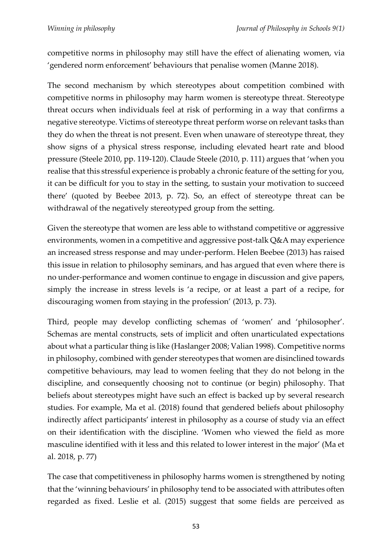competitive norms in philosophy may still have the effect of alienating women, via 'gendered norm enforcement' behaviours that penalise women (Manne 2018).

The second mechanism by which stereotypes about competition combined with competitive norms in philosophy may harm women is stereotype threat. Stereotype threat occurs when individuals feel at risk of performing in a way that confirms a negative stereotype. Victims of stereotype threat perform worse on relevant tasks than they do when the threat is not present. Even when unaware of stereotype threat, they show signs of a physical stress response, including elevated heart rate and blood pressure (Steele 2010, pp. 119-120). Claude Steele (2010, p. 111) argues that 'when you realise that this stressful experience is probably a chronic feature of the setting for you, it can be difficult for you to stay in the setting, to sustain your motivation to succeed there' (quoted by Beebee 2013, p. 72). So, an effect of stereotype threat can be withdrawal of the negatively stereotyped group from the setting.

Given the stereotype that women are less able to withstand competitive or aggressive environments, women in a competitive and aggressive post-talk Q&A may experience an increased stress response and may under-perform. Helen Beebee (2013) has raised this issue in relation to philosophy seminars, and has argued that even where there is no under-performance and women continue to engage in discussion and give papers, simply the increase in stress levels is 'a recipe, or at least a part of a recipe, for discouraging women from staying in the profession' (2013, p. 73).

Third, people may develop conflicting schemas of 'women' and 'philosopher'. Schemas are mental constructs, sets of implicit and often unarticulated expectations about what a particular thing is like (Haslanger 2008; Valian 1998). Competitive norms in philosophy, combined with gender stereotypes that women are disinclined towards competitive behaviours, may lead to women feeling that they do not belong in the discipline, and consequently choosing not to continue (or begin) philosophy. That beliefs about stereotypes might have such an effect is backed up by several research studies. For example, Ma et al. (2018) found that gendered beliefs about philosophy indirectly affect participants' interest in philosophy as a course of study via an effect on their identification with the discipline. 'Women who viewed the field as more masculine identified with it less and this related to lower interest in the major' (Ma et al. 2018, p. 77)

The case that competitiveness in philosophy harms women is strengthened by noting that the 'winning behaviours' in philosophy tend to be associated with attributes often regarded as fixed. Leslie et al. (2015) suggest that some fields are perceived as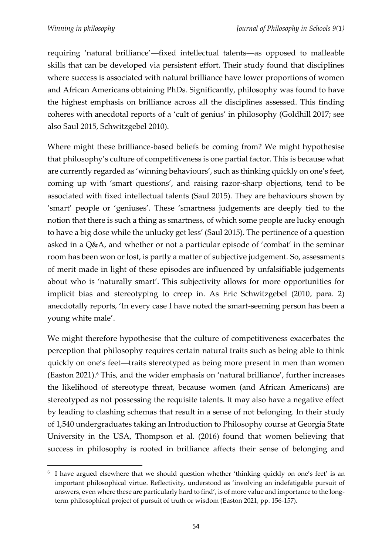requiring 'natural brilliance'―fixed intellectual talents―as opposed to malleable skills that can be developed via persistent effort. Their study found that disciplines where success is associated with natural brilliance have lower proportions of women and African Americans obtaining PhDs. Significantly, philosophy was found to have the highest emphasis on brilliance across all the disciplines assessed. This finding coheres with anecdotal reports of a 'cult of genius' in philosophy (Goldhill 2017; see also Saul 2015, Schwitzgebel 2010).

Where might these brilliance-based beliefs be coming from? We might hypothesise that philosophy's culture of competitiveness is one partial factor. This is because what are currently regarded as 'winning behaviours', such as thinking quickly on one's feet, coming up with 'smart questions', and raising razor-sharp objections, tend to be associated with fixed intellectual talents (Saul 2015). They are behaviours shown by 'smart' people or 'geniuses'. These 'smartness judgements are deeply tied to the notion that there is such a thing as smartness, of which some people are lucky enough to have a big dose while the unlucky get less' (Saul 2015). The pertinence of a question asked in a Q&A, and whether or not a particular episode of 'combat' in the seminar room has been won or lost, is partly a matter of subjective judgement. So, assessments of merit made in light of these episodes are influenced by unfalsifiable judgements about who is 'naturally smart'. This subjectivity allows for more opportunities for implicit bias and stereotyping to creep in. As Eric Schwitzgebel (2010, para. 2) anecdotally reports, 'In every case I have noted the smart-seeming person has been a young white male'.

We might therefore hypothesise that the culture of competitiveness exacerbates the perception that philosophy requires certain natural traits such as being able to think quickly on one's feet―traits stereotyped as being more present in men than women (Easton 2021).<sup>6</sup> This, and the wider emphasis on 'natural brilliance', further increases the likelihood of stereotype threat, because women (and African Americans) are stereotyped as not possessing the requisite talents. It may also have a negative effect by leading to clashing schemas that result in a sense of not belonging. In their study of 1,540 undergraduates taking an Introduction to Philosophy course at Georgia State University in the USA, Thompson et al. (2016) found that women believing that success in philosophy is rooted in brilliance affects their sense of belonging and

<sup>&</sup>lt;sup>6</sup> I have argued elsewhere that we should question whether 'thinking quickly on one's feet' is an important philosophical virtue. Reflectivity, understood as 'involving an indefatigable pursuit of answers, even where these are particularly hard to find', is of more value and importance to the longterm philosophical project of pursuit of truth or wisdom (Easton 2021, pp. 156-157).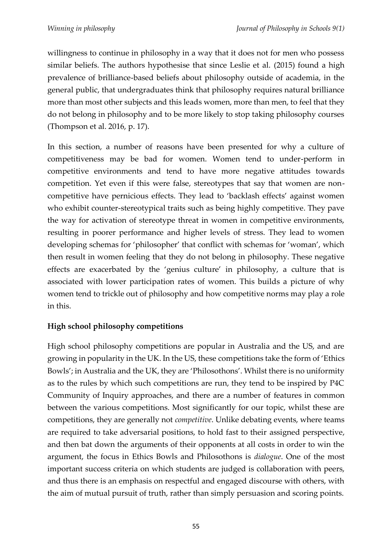willingness to continue in philosophy in a way that it does not for men who possess similar beliefs. The authors hypothesise that since Leslie et al. (2015) found a high prevalence of brilliance-based beliefs about philosophy outside of academia, in the general public, that undergraduates think that philosophy requires natural brilliance more than most other subjects and this leads women, more than men, to feel that they do not belong in philosophy and to be more likely to stop taking philosophy courses (Thompson et al. 2016, p. 17).

In this section, a number of reasons have been presented for why a culture of competitiveness may be bad for women. Women tend to under-perform in competitive environments and tend to have more negative attitudes towards competition. Yet even if this were false, stereotypes that say that women are noncompetitive have pernicious effects. They lead to 'backlash effects' against women who exhibit counter-stereotypical traits such as being highly competitive. They pave the way for activation of stereotype threat in women in competitive environments, resulting in poorer performance and higher levels of stress. They lead to women developing schemas for 'philosopher' that conflict with schemas for 'woman', which then result in women feeling that they do not belong in philosophy. These negative effects are exacerbated by the 'genius culture' in philosophy, a culture that is associated with lower participation rates of women. This builds a picture of why women tend to trickle out of philosophy and how competitive norms may play a role in this.

# **High school philosophy competitions**

High school philosophy competitions are popular in Australia and the US, and are growing in popularity in the UK. In the US, these competitions take the form of 'Ethics Bowls'; in Australia and the UK, they are 'Philosothons'. Whilst there is no uniformity as to the rules by which such competitions are run, they tend to be inspired by P4C Community of Inquiry approaches, and there are a number of features in common between the various competitions. Most significantly for our topic, whilst these are competitions, they are generally not *competitive*. Unlike debating events, where teams are required to take adversarial positions, to hold fast to their assigned perspective, and then bat down the arguments of their opponents at all costs in order to win the argument, the focus in Ethics Bowls and Philosothons is *dialogue*. One of the most important success criteria on which students are judged is collaboration with peers, and thus there is an emphasis on respectful and engaged discourse with others, with the aim of mutual pursuit of truth, rather than simply persuasion and scoring points.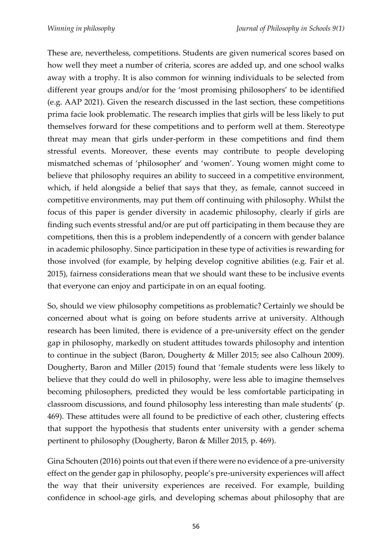These are, nevertheless, competitions. Students are given numerical scores based on how well they meet a number of criteria, scores are added up, and one school walks away with a trophy. It is also common for winning individuals to be selected from different year groups and/or for the 'most promising philosophers' to be identified (e.g. AAP 2021). Given the research discussed in the last section, these competitions prima facie look problematic. The research implies that girls will be less likely to put themselves forward for these competitions and to perform well at them. Stereotype threat may mean that girls under-perform in these competitions and find them stressful events. Moreover, these events may contribute to people developing mismatched schemas of 'philosopher' and 'women'. Young women might come to believe that philosophy requires an ability to succeed in a competitive environment, which, if held alongside a belief that says that they, as female, cannot succeed in competitive environments, may put them off continuing with philosophy. Whilst the focus of this paper is gender diversity in academic philosophy, clearly if girls are finding such events stressful and/or are put off participating in them because they are competitions, then this is a problem independently of a concern with gender balance in academic philosophy. Since participation in these type of activities is rewarding for those involved (for example, by helping develop cognitive abilities (e.g. Fair et al. 2015), fairness considerations mean that we should want these to be inclusive events that everyone can enjoy and participate in on an equal footing.

So, should we view philosophy competitions as problematic? Certainly we should be concerned about what is going on before students arrive at university. Although research has been limited, there is evidence of a pre-university effect on the gender gap in philosophy, markedly on student attitudes towards philosophy and intention to continue in the subject (Baron, Dougherty & Miller 2015; see also Calhoun 2009). Dougherty, Baron and Miller (2015) found that 'female students were less likely to believe that they could do well in philosophy, were less able to imagine themselves becoming philosophers, predicted they would be less comfortable participating in classroom discussions, and found philosophy less interesting than male students' (p. 469). These attitudes were all found to be predictive of each other, clustering effects that support the hypothesis that students enter university with a gender schema pertinent to philosophy (Dougherty, Baron & Miller 2015, p. 469).

Gina Schouten (2016) points out that even if there were no evidence of a pre-university effect on the gender gap in philosophy, people's pre-university experiences will affect the way that their university experiences are received. For example, building confidence in school-age girls, and developing schemas about philosophy that are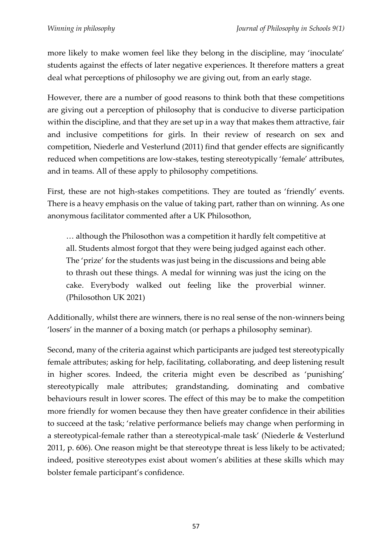more likely to make women feel like they belong in the discipline, may 'inoculate' students against the effects of later negative experiences. It therefore matters a great deal what perceptions of philosophy we are giving out, from an early stage.

However, there are a number of good reasons to think both that these competitions are giving out a perception of philosophy that is conducive to diverse participation within the discipline, and that they are set up in a way that makes them attractive, fair and inclusive competitions for girls. In their review of research on sex and competition, Niederle and Vesterlund (2011) find that gender effects are significantly reduced when competitions are low-stakes, testing stereotypically 'female' attributes, and in teams. All of these apply to philosophy competitions.

First, these are not high-stakes competitions. They are touted as 'friendly' events. There is a heavy emphasis on the value of taking part, rather than on winning. As one anonymous facilitator commented after a UK Philosothon,

… although the Philosothon was a competition it hardly felt competitive at all. Students almost forgot that they were being judged against each other. The 'prize' for the students was just being in the discussions and being able to thrash out these things. A medal for winning was just the icing on the cake. Everybody walked out feeling like the proverbial winner. (Philosothon UK 2021)

Additionally, whilst there are winners, there is no real sense of the non-winners being 'losers' in the manner of a boxing match (or perhaps a philosophy seminar).

Second, many of the criteria against which participants are judged test stereotypically female attributes; asking for help, facilitating, collaborating, and deep listening result in higher scores. Indeed, the criteria might even be described as 'punishing' stereotypically male attributes; grandstanding, dominating and combative behaviours result in lower scores. The effect of this may be to make the competition more friendly for women because they then have greater confidence in their abilities to succeed at the task; 'relative performance beliefs may change when performing in a stereotypical-female rather than a stereotypical-male task' (Niederle & Vesterlund 2011, p. 606). One reason might be that stereotype threat is less likely to be activated; indeed, positive stereotypes exist about women's abilities at these skills which may bolster female participant's confidence.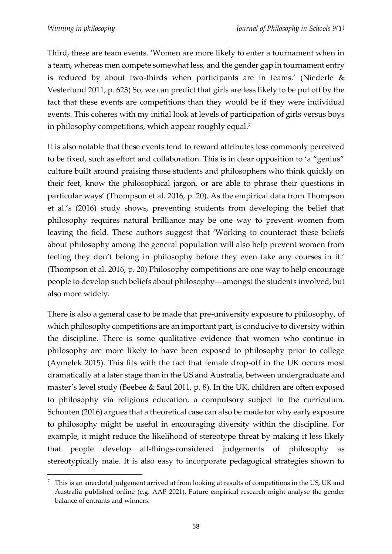Third, these are team events. 'Women are more likely to enter a tournament when in a team, whereas men compete somewhat less, and the gender gap in tournament entry is reduced by about two-thirds when participants are in teams.' (Niederle & Vesterlund 2011, p. 623) So, we can predict that girls are less likely to be put off by the fact that these events are competitions than they would be if they were individual events. This coheres with my initial look at levels of participation of girls versus boys in philosophy competitions, which appear roughly equal.<sup>7</sup>

It is also notable that these events tend to reward attributes less commonly perceived to be fixed, such as effort and collaboration. This is in clear opposition to 'a "genius" culture built around praising those students and philosophers who think quickly on their feet, know the philosophical jargon, or are able to phrase their questions in particular ways' (Thompson et al. 2016, p. 20). As the empirical data from Thompson et al.'s (2016) study shows, preventing students from developing the belief that philosophy requires natural brilliance may be one way to prevent women from leaving the field. These authors suggest that 'Working to counteract these beliefs about philosophy among the general population will also help prevent women from feeling they don't belong in philosophy before they even take any courses in it.' (Thompson et al. 2016, p. 20) Philosophy competitions are one way to help encourage people to develop such beliefs about philosophy―amongst the students involved, but also more widely.

There is also a general case to be made that pre-university exposure to philosophy, of which philosophy competitions are an important part, is conducive to diversity within the discipline. There is some qualitative evidence that women who continue in philosophy are more likely to have been exposed to philosophy prior to college (Aymelek 2015). This fits with the fact that female drop-off in the UK occurs most dramatically at a later stage than in the US and Australia, between undergraduate and master's level study (Beebee & Saul 2011, p. 8). In the UK, children are often exposed to philosophy via religious education, a compulsory subject in the curriculum. Schouten (2016) argues that a theoretical case can also be made for why early exposure to philosophy might be useful in encouraging diversity within the discipline. For example, it might reduce the likelihood of stereotype threat by making it less likely that people develop all-things-considered judgements of philosophy as stereotypically male. It is also easy to incorporate pedagogical strategies shown to

 $7\text{ This is an ancestral judgment arrived at from looking at results of competitions in the US, UK and }$ Australia published online (e.g. AAP 2021). Future empirical research might analyse the gender balance of entrants and winners.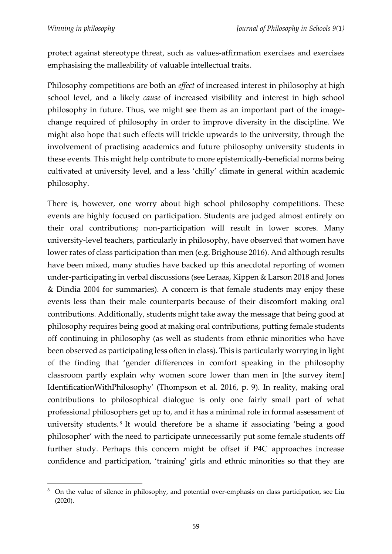protect against stereotype threat, such as values-affirmation exercises and exercises emphasising the malleability of valuable intellectual traits.

Philosophy competitions are both an *effect* of increased interest in philosophy at high school level, and a likely *cause* of increased visibility and interest in high school philosophy in future. Thus, we might see them as an important part of the imagechange required of philosophy in order to improve diversity in the discipline. We might also hope that such effects will trickle upwards to the university, through the involvement of practising academics and future philosophy university students in these events. This might help contribute to more epistemically-beneficial norms being cultivated at university level, and a less 'chilly' climate in general within academic philosophy.

There is, however, one worry about high school philosophy competitions. These events are highly focused on participation. Students are judged almost entirely on their oral contributions; non-participation will result in lower scores. Many university-level teachers, particularly in philosophy, have observed that women have lower rates of class participation than men (e.g. Brighouse 2016). And although results have been mixed, many studies have backed up this anecdotal reporting of women under-participating in verbal discussions (see Leraas, Kippen & Larson 2018 and Jones & Dindia 2004 for summaries). A concern is that female students may enjoy these events less than their male counterparts because of their discomfort making oral contributions. Additionally, students might take away the message that being good at philosophy requires being good at making oral contributions, putting female students off continuing in philosophy (as well as students from ethnic minorities who have been observed as participating less often in class). This is particularly worrying in light of the finding that 'gender differences in comfort speaking in the philosophy classroom partly explain why women score lower than men in [the survey item] IdentificationWithPhilosophy' (Thompson et al. 2016, p. 9). In reality, making oral contributions to philosophical dialogue is only one fairly small part of what professional philosophers get up to, and it has a minimal role in formal assessment of university students. <sup>8</sup> It would therefore be a shame if associating 'being a good philosopher' with the need to participate unnecessarily put some female students off further study. Perhaps this concern might be offset if P4C approaches increase confidence and participation, 'training' girls and ethnic minorities so that they are

<sup>&</sup>lt;sup>8</sup> On the value of silence in philosophy, and potential over-emphasis on class participation, see Liu (2020).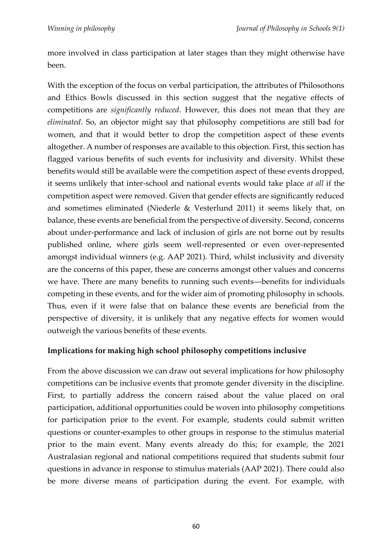more involved in class participation at later stages than they might otherwise have been.

With the exception of the focus on verbal participation, the attributes of Philosothons and Ethics Bowls discussed in this section suggest that the negative effects of competitions are *significantly reduced*. However, this does not mean that they are *eliminated*. So, an objector might say that philosophy competitions are still bad for women, and that it would better to drop the competition aspect of these events altogether. A number of responses are available to this objection. First, this section has flagged various benefits of such events for inclusivity and diversity. Whilst these benefits would still be available were the competition aspect of these events dropped, it seems unlikely that inter-school and national events would take place *at all* if the competition aspect were removed. Given that gender effects are significantly reduced and sometimes eliminated (Niederle & Vesterlund 2011) it seems likely that, on balance, these events are beneficial from the perspective of diversity. Second, concerns about under-performance and lack of inclusion of girls are not borne out by results published online, where girls seem well-represented or even over-represented amongst individual winners (e.g. AAP 2021). Third, whilst inclusivity and diversity are the concerns of this paper, these are concerns amongst other values and concerns we have. There are many benefits to running such events―benefits for individuals competing in these events, and for the wider aim of promoting philosophy in schools. Thus, even if it were false that on balance these events are beneficial from the perspective of diversity, it is unlikely that any negative effects for women would outweigh the various benefits of these events.

## **Implications for making high school philosophy competitions inclusive**

From the above discussion we can draw out several implications for how philosophy competitions can be inclusive events that promote gender diversity in the discipline. First, to partially address the concern raised about the value placed on oral participation, additional opportunities could be woven into philosophy competitions for participation prior to the event. For example, students could submit written questions or counter-examples to other groups in response to the stimulus material prior to the main event. Many events already do this; for example, the 2021 Australasian regional and national competitions required that students submit four questions in advance in response to stimulus materials (AAP 2021). There could also be more diverse means of participation during the event. For example, with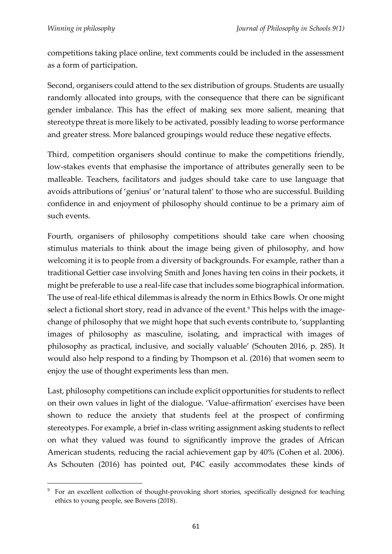competitions taking place online, text comments could be included in the assessment as a form of participation.

Second, organisers could attend to the sex distribution of groups. Students are usually randomly allocated into groups, with the consequence that there can be significant gender imbalance. This has the effect of making sex more salient, meaning that stereotype threat is more likely to be activated, possibly leading to worse performance and greater stress. More balanced groupings would reduce these negative effects.

Third, competition organisers should continue to make the competitions friendly, low-stakes events that emphasise the importance of attributes generally seen to be malleable. Teachers, facilitators and judges should take care to use language that avoids attributions of 'genius' or 'natural talent' to those who are successful. Building confidence in and enjoyment of philosophy should continue to be a primary aim of such events.

Fourth, organisers of philosophy competitions should take care when choosing stimulus materials to think about the image being given of philosophy, and how welcoming it is to people from a diversity of backgrounds. For example, rather than a traditional Gettier case involving Smith and Jones having ten coins in their pockets, it might be preferable to use a real-life case that includes some biographical information. The use of real-life ethical dilemmas is already the norm in Ethics Bowls. Or one might select a fictional short story, read in advance of the event.<sup>9</sup> This helps with the imagechange of philosophy that we might hope that such events contribute to, 'supplanting images of philosophy as masculine, isolating, and impractical with images of philosophy as practical, inclusive, and socially valuable' (Schouten 2016, p. 285). It would also help respond to a finding by Thompson et al. (2016) that women seem to enjoy the use of thought experiments less than men.

Last, philosophy competitions can include explicit opportunities for students to reflect on their own values in light of the dialogue. 'Value-affirmation' exercises have been shown to reduce the anxiety that students feel at the prospect of confirming stereotypes. For example, a brief in-class writing assignment asking students to reflect on what they valued was found to significantly improve the grades of African American students, reducing the racial achievement gap by 40% (Cohen et al. 2006). As Schouten (2016) has pointed out, P4C easily accommodates these kinds of

<sup>&</sup>lt;sup>9</sup> For an excellent collection of thought-provoking short stories, specifically designed for teaching ethics to young people, see Bovens (2018).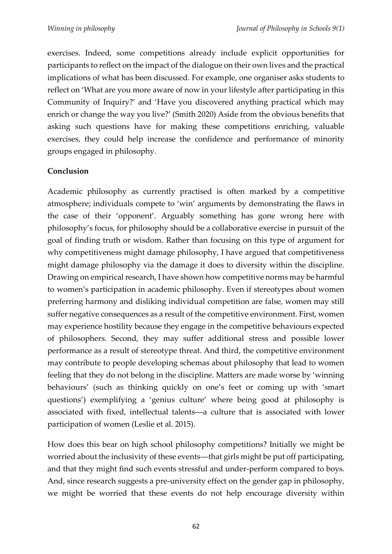exercises. Indeed, some competitions already include explicit opportunities for participants to reflect on the impact of the dialogue on their own lives and the practical implications of what has been discussed. For example, one organiser asks students to reflect on 'What are you more aware of now in your lifestyle after participating in this Community of Inquiry?' and 'Have you discovered anything practical which may enrich or change the way you live?' (Smith 2020) Aside from the obvious benefits that asking such questions have for making these competitions enriching, valuable exercises, they could help increase the confidence and performance of minority groups engaged in philosophy.

## **Conclusion**

Academic philosophy as currently practised is often marked by a competitive atmosphere; individuals compete to 'win' arguments by demonstrating the flaws in the case of their 'opponent'. Arguably something has gone wrong here with philosophy's focus, for philosophy should be a collaborative exercise in pursuit of the goal of finding truth or wisdom. Rather than focusing on this type of argument for why competitiveness might damage philosophy, I have argued that competitiveness might damage philosophy via the damage it does to diversity within the discipline. Drawing on empirical research, I have shown how competitive norms may be harmful to women's participation in academic philosophy. Even if stereotypes about women preferring harmony and disliking individual competition are false, women may still suffer negative consequences as a result of the competitive environment. First, women may experience hostility because they engage in the competitive behaviours expected of philosophers. Second, they may suffer additional stress and possible lower performance as a result of stereotype threat. And third, the competitive environment may contribute to people developing schemas about philosophy that lead to women feeling that they do not belong in the discipline. Matters are made worse by 'winning behaviours' (such as thinking quickly on one's feet or coming up with 'smart questions') exemplifying a 'genius culture' where being good at philosophy is associated with fixed, intellectual talents―a culture that is associated with lower participation of women (Leslie et al. 2015).

How does this bear on high school philosophy competitions? Initially we might be worried about the inclusivity of these events—that girls might be put off participating, and that they might find such events stressful and under-perform compared to boys. And, since research suggests a pre-university effect on the gender gap in philosophy, we might be worried that these events do not help encourage diversity within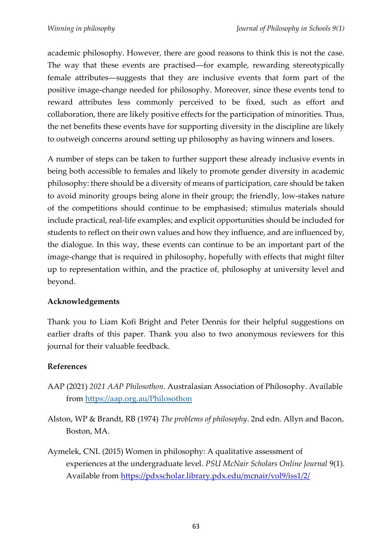academic philosophy. However, there are good reasons to think this is not the case. The way that these events are practised—for example, rewarding stereotypically female attributes―suggests that they are inclusive events that form part of the positive image-change needed for philosophy. Moreover, since these events tend to reward attributes less commonly perceived to be fixed, such as effort and collaboration, there are likely positive effects for the participation of minorities. Thus, the net benefits these events have for supporting diversity in the discipline are likely to outweigh concerns around setting up philosophy as having winners and losers.

A number of steps can be taken to further support these already inclusive events in being both accessible to females and likely to promote gender diversity in academic philosophy: there should be a diversity of means of participation, care should be taken to avoid minority groups being alone in their group; the friendly, low-stakes nature of the competitions should continue to be emphasised; stimulus materials should include practical, real-life examples; and explicit opportunities should be included for students to reflect on their own values and how they influence, and are influenced by, the dialogue. In this way, these events can continue to be an important part of the image-change that is required in philosophy, hopefully with effects that might filter up to representation within, and the practice of, philosophy at university level and beyond.

## **Acknowledgements**

Thank you to Liam Kofi Bright and Peter Dennis for their helpful suggestions on earlier drafts of this paper. Thank you also to two anonymous reviewers for this journal for their valuable feedback.

# **References**

- AAP (2021) *2021 AAP Philosothon*. Australasian Association of Philosophy. Available from<https://aap.org.au/Philosothon>
- Alston, WP & Brandt, RB (1974) *The problems of philosophy*. 2nd edn. Allyn and Bacon, Boston, MA.
- Aymelek, CNL (2015) Women in philosophy: A qualitative assessment of experiences at the undergraduate level. *PSU McNair Scholars Online Journal* 9(1). Available from<https://pdxscholar.library.pdx.edu/mcnair/vol9/iss1/2/>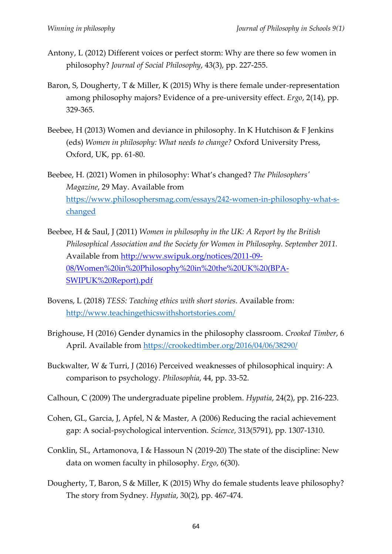- Antony, L (2012) Different voices or perfect storm: Why are there so few women in philosophy? *Journal of Social Philosophy*, 43(3), pp. 227-255.
- Baron, S, Dougherty, T & Miller, K (2015) Why is there female under-representation among philosophy majors? Evidence of a pre-university effect. *Ergo*, 2(14), pp. 329-365.
- Beebee, H (2013) Women and deviance in philosophy. In K Hutchison & F Jenkins (eds) *Women in philosophy: What needs to change?* Oxford University Press, Oxford, UK, pp. 61-80.
- Beebee, H. (2021) Women in philosophy: What's changed? *The Philosophers' Magazine*, 29 May. Available from [https://www.philosophersmag.com/essays/242-women-in-philosophy-what-s](https://www.philosophersmag.com/essays/242-women-in-philosophy-what-s-changed)[changed](https://www.philosophersmag.com/essays/242-women-in-philosophy-what-s-changed)
- Beebee, H & Saul, J (2011) *Women in philosophy in the UK: A Report by the British Philosophical Association and the Society for Women in Philosophy. September 2011.*  Available from [http://www.swipuk.org/notices/2011-09-](http://www.swipuk.org/notices/2011-09-08/Women%20in%20Philosophy%20in%20the%20UK%20(BPA-SWIPUK%20Report).pdf) [08/Women%20in%20Philosophy%20in%20the%20UK%20\(BPA-](http://www.swipuk.org/notices/2011-09-08/Women%20in%20Philosophy%20in%20the%20UK%20(BPA-SWIPUK%20Report).pdf)[SWIPUK%20Report\).pdf](http://www.swipuk.org/notices/2011-09-08/Women%20in%20Philosophy%20in%20the%20UK%20(BPA-SWIPUK%20Report).pdf)
- Bovens, L (2018) *TESS: Teaching ethics with short stories*. Available from: <http://www.teachingethicswithshortstories.com/>
- Brighouse, H (2016) Gender dynamics in the philosophy classroom. *Crooked Timber*, 6 April. Available from<https://crookedtimber.org/2016/04/06/38290/>
- Buckwalter, W & Turri, J (2016) Perceived weaknesses of philosophical inquiry: A comparison to psychology. *Philosophia*, 44, pp. 33-52.
- Calhoun, C (2009) The undergraduate pipeline problem. *Hypatia*, 24(2), pp. 216-223.
- Cohen, GL, Garcia, J, Apfel, N & Master, A (2006) Reducing the racial achievement gap: A social-psychological intervention. *Science*, 313(5791), pp. 1307-1310.
- Conklin, SL, Artamonova, I & Hassoun N (2019-20) The state of the discipline: New data on women faculty in philosophy. *Ergo*, 6(30).
- Dougherty, T, Baron, S & Miller, K (2015) Why do female students leave philosophy? The story from Sydney. *Hypatia*, 30(2), pp. 467-474.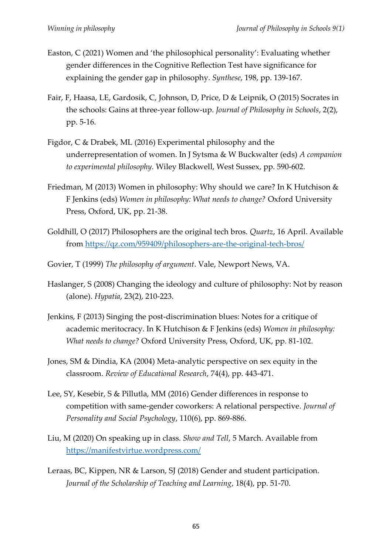- Easton, C (2021) Women and 'the philosophical personality': Evaluating whether gender differences in the Cognitive Reflection Test have significance for explaining the gender gap in philosophy. *Synthese*, 198, pp. 139-167.
- Fair, F, Haasa, LE, Gardosik, C, Johnson, D, Price, D & Leipnik, O (2015) Socrates in the schools: Gains at three-year follow-up. *Journal of Philosophy in Schools*, 2(2), pp. 5-16.
- Figdor, C & Drabek, ML (2016) Experimental philosophy and the underrepresentation of women. In J Sytsma & W Buckwalter (eds) *A companion to experimental philosophy.* Wiley Blackwell, West Sussex, pp. 590-602.
- Friedman, M (2013) Women in philosophy: Why should we care? In K Hutchison & F Jenkins (eds) *Women in philosophy: What needs to change?* Oxford University Press, Oxford, UK, pp. 21-38.
- Goldhill, O (2017) Philosophers are the original tech bros. *Quartz*, 16 April. Available from<https://qz.com/959409/philosophers-are-the-original-tech-bros/>
- Govier, T (1999) *The philosophy of argument*. Vale, Newport News, VA.
- Haslanger, S (2008) Changing the ideology and culture of philosophy: Not by reason (alone). *Hypatia*, 23(2), 210-223.
- Jenkins, F (2013) Singing the post-discrimination blues: Notes for a critique of academic meritocracy. In K Hutchison & F Jenkins (eds) *Women in philosophy: What needs to change?* Oxford University Press, Oxford, UK, pp. 81-102.
- Jones, SM & Dindia, KA (2004) Meta-analytic perspective on sex equity in the classroom. *Review of Educational Research*, 74(4), pp. 443-471.
- Lee, SY, Kesebir, S & Pillutla, MM (2016) Gender differences in response to competition with same-gender coworkers: A relational perspective. *Journal of Personality and Social Psychology*, 110(6), pp. 869-886.
- Liu, M (2020) On speaking up in class. *Show and Tell*, 5 March. Available from <https://manifestvirtue.wordpress.com/>
- Leraas, BC, Kippen, NR & Larson, SJ (2018) Gender and student participation. *Journal of the Scholarship of Teaching and Learning*, 18(4), pp. 51-70.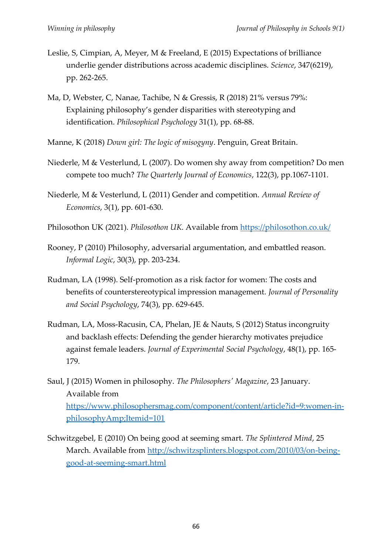- Leslie, S, Cimpian, A, Meyer, M & Freeland, E (2015) Expectations of brilliance underlie gender distributions across academic disciplines. *Science*, 347(6219), pp. 262-265.
- Ma, D, Webster, C, Nanae, Tachibe, N & Gressis, R (2018) 21% versus 79%: Explaining philosophy's gender disparities with stereotyping and identification. *Philosophical Psychology* 31(1), pp. 68-88.
- Manne, K (2018) *Down girl: The logic of misogyny*. Penguin, Great Britain.
- Niederle, M & Vesterlund, L (2007). Do women shy away from competition? Do men compete too much? *The Quarterly Journal of Economics*, 122(3), pp.1067-1101.
- Niederle, M & Vesterlund, L (2011) Gender and competition. *Annual Review of Economics*, 3(1), pp. 601-630.
- Philosothon UK (2021). *Philosothon UK*. Available from<https://philosothon.co.uk/>
- Rooney, P (2010) Philosophy, adversarial argumentation, and embattled reason. *Informal Logic*, 30(3), pp. 203-234.
- Rudman, LA (1998). Self-promotion as a risk factor for women: The costs and benefits of counterstereotypical impression management. *Journal of Personality and Social Psychology*, 74(3), pp. 629-645.
- Rudman, LA, Moss-Racusin, CA, Phelan, JE & Nauts, S (2012) Status incongruity and backlash effects: Defending the gender hierarchy motivates prejudice against female leaders. *Journal of Experimental Social Psychology*, 48(1), pp. 165- 179.
- Saul, J (2015) Women in philosophy. *The Philosophers' Magazine*, 23 January. Available from [https://www.philosophersmag.com/component/content/article?id=9:women-in](https://www.philosophersmag.com/component/content/article?id=9:women-in-philosophyAmp;Itemid=101)[philosophyAmp;Itemid=101](https://www.philosophersmag.com/component/content/article?id=9:women-in-philosophyAmp;Itemid=101)
- Schwitzgebel, E (2010) On being good at seeming smart. *The Splintered Mind*, 25 March. Available from [http://schwitzsplinters.blogspot.com/2010/03/on-being](http://schwitzsplinters.blogspot.com/2010/03/on-being-good-at-seeming-smart.html)[good-at-seeming-smart.html](http://schwitzsplinters.blogspot.com/2010/03/on-being-good-at-seeming-smart.html)